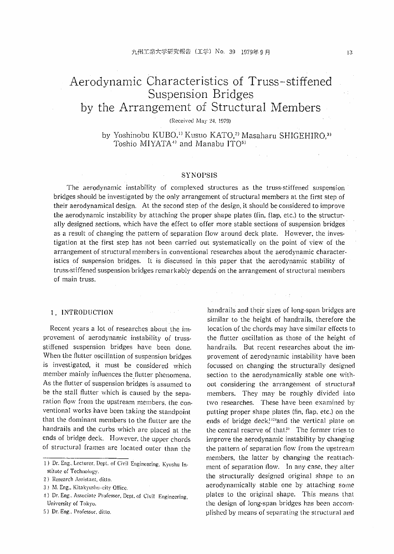# Aerodynamic Characteristics of Truss-stiffened Suspension Bridges by the Arrangement of Structural Members

(Received May 24, 1979).

by Yoshinobu KUBO,<sup>11</sup> Kusuo KATO,<sup>21</sup> Masaharu SHIGEHIRO,<sup>31</sup> Toshio MIYATA<sup>1)</sup> and Manabu ITO<sup>5)</sup>

## **SYNOPSIS**

The aerodynamic instability of complexed structures as the truss-stiffened suspension bridges should be investigated by the only arrangement of structural members at the first step of their aerodynamical design. At the second step of the design, it should be considered to improve the aerodynamic instability by attaching the proper shape plates (fin. flap, etc.) to the structurally designed sections, which have the effect to offer more stable sections of suspension bridges as a result of changing the pattern of separation flow around deck plate. However, the investigation at the first step has not been carried out systematically on the point of view of the arrangement of structural members in conventional researches about the aerodynamic characteristics of suspension bridges. It is discussed in this paper that the aerodynamic stability of truss-stiffened suspension bridges remarkably depends on the arrangement of structural members of main truss.

## 1. INTRODUCTION

Recent years a lot of researches about the improvement of aerodynamic instability of trussstiffened suspension bridges have been done. When the flutter oscillation of suspension bridges is investigated, it must be considered which member mainly influences the flutter phenomena. As the flutter of suspension bridges is assumed to be the stall flutter which is caused by the separation flow from the upstream members, the conventional works have been taking the standpoint that the dominant members to the flutter are the handrails and the curbs which are placed at the ends of bridge deck. However. the upper chords of structural frames are located outer than the

- ,1} Dr. Eng.. Associate Professor, Dept.of Civil Engineering, University of Tokyo.
- S) Dr. Eng.. Professor. ditto.

handrails and their sizes of long-span bridges are similar to the height of handrails, therefore the location of the chords may have similar effects to the flutter oscillation as those of the height of handrails. But recent researches about the improvement of aerodynamic instability have been focussed on changing the structurally designed section to the aerodynamically stable one without considering the arrangement of structural members. They may be roughly divided into two researches. These have been examined by putting proper shape plates (fin, flap, etc.) on the ends of bridge deck,<sup>122</sup>and the vertical plate on the central reserve of that. The former tries to improve the aerodynamic instability by changing the pattern of separation flow from the upstream members, the latter by changing the reattachment of separation flow. In any case, they alter the structurally designed original shape to an aerodynamically stable one by attaching some plates to the original shape. This means that the design of long-span bridges has been accomplished by means of separating the structural and

<sup>1)</sup> Dr. Eng.,Lecturer, Dept. of Civil Engineering, Kyushu In. stitute of Technology.

<sup>2)</sup> Research Assistant, ditto.

<sup>3)</sup> M. Eng., Kitakyushu-city Office.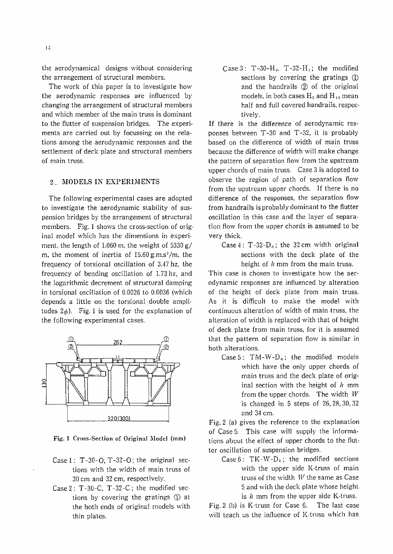the aerodynamical designs without considering the arrangement of structural members.

The work of this paper is to investigate how the aerodynamic responses are influenced by changing the arrangement of structural members and which member of the main truss is dominant to the flutter of suspension bridges, The experiments are carried out by focussing on the relations among the aerodynamic responses and the settlement of deck plate and structural members of main truss.

## 2. MODELS IN EXPERIMENTS

The following experimental cases are adopted to investigate the aerodynamic stability of suspension bridges by the arrangement of structural members. Fig. 1 shows the cross-section of original model which has the dimensions in experiment, the length of 1.060 m, the weight of  $5330 g/$ m, the moment of inertia of  $15.60 \text{ g.m.s}^2/\text{m}$ , the frequency of torsional oscillation of 3.47 hz, the frequency of bending oscillation of 1.73 hz, and the logarithmic decrement of structural damping in torsional oscillation of 0.0026 to 0.0036 (which depends a little on the torsional double amplitudes  $2\phi$ ). Fig. 1 is used for the explanation of the following experimental cases.



Fig. 1 Cross-Section of Original Model (mm)

- Case  $1: T-30-O, T-32-O$ ; the original sections with the width of main truss of 30 ern and 32 ern, respectively.
- Case 2: T-30-C, T -32-C; the modified sections by covering the gratings  $\Phi$  at the both ends of original models with thin plates.

Case  $3: T-30-H<sub>0</sub>$ ,  $T-32-H<sub>0</sub>$ ; the modified sections by covering the gratings  $(D)$ and the handrails  $(2)$  of the original models, in both cases  $H_5$  and  $H_{10}$  mean half and full covered handrails, respectively.

If there is the difference of aerodynamic responses between T -30 and T-32, it is probably based on the difference of width of main truss because the difference of width will make change the pattern of separation flow from the upstream upper chords of main truss. Case 3 is adopted to observe the region of path of separation 'flow from the upstream upper chords. If there is no difference of the responses, the separation flow from handrails is probably dominant to the flutter oscillation in this case and the layer of separation flow from the upper chords is assumed to be very thick.

Case 4: T-32- $D_h$ ; the 32 cm width original sections with the deck plate of the height of *h* mm from the main truss.

This case is chosen to investigate how the aerodynamic responses are influenced by alteration of the height of deck plate from main truss. As it is difficult to make the model with continuous alteration of width of main truss, the alteration of width is replaced with that of height of deck plate from main truss, for it is assumed that the pattern of separation flow is similar in both alterations.

Case 5: TM-W-D<sub>n</sub>; the modified models which have the only upper chords of main truss and the deck plate of original section with the height of *h* mm from the upper chords. The width  $W$ is changed in 5 steps of 26,28,30,32 and 34 em.

Fig. 2 (a) gives the reference to the explanation of Case 5. This case will supply the informations about the effect of upper chords to the flutter oscillation of suspension bridges.

Case 6:  $TK-W-D_h$ ; the modified sections with the upper side K-truss of main truss of the width  $W$  the same as Case 5 and with the deck plate whose height is  $h$  mm from the upper side K-truss.

Fig.2 (b) is K-truss for Case 6. The last case will teach us the influence of K-truss which has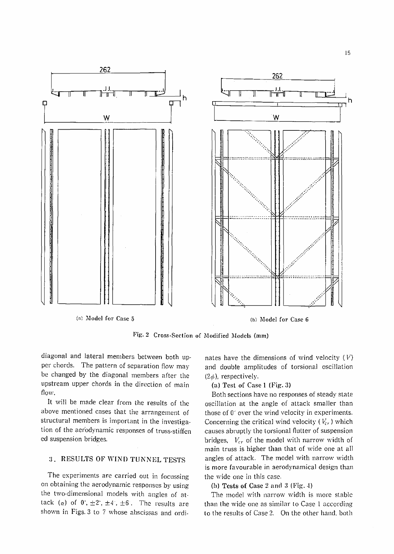

Fig. 2 Cross-Section of Modified Models (mm)

diagonal and lateral members between both upper chords. The pattern of separation flow may be changed by the diagonal members after the upstream upper chords in the direction of main flow.

It will be made clear from the results of the above mentioned cases that the arrangement of structural members is important in the investigation of the aerodynamic responses of truss-stiffen ed suspension bridges.

# 3. RESULTS OF WIND TUNNEL TESTS

The experiments are carried out in focussing on obtaining the aerodynamic responses by using the two-dimensional models with angles of attack  $(a)$  of  $0^{\circ}$ ,  $\pm 2^{\circ}$ ,  $\pm 4^{\circ}$ ,  $\pm 6^{\circ}$ . The results are shown in Figs. 3 to 7 whose abscissas and ordi-

nates have the dimensions of wind velocity  $(V)$ and double amplitudes of torsional oscillation  $(2\phi)$ , respectively.

(a) Test of Case 1 (Fig. 3)

Both sections have no responses of steady state oscillation at the angle of attack smaller than those of 0" over the wind velocity in experiments. Concerning the critical wind velocity  $(V_{cr})$  which causes abruptly the torsional flutter of suspension bridges.  $V_{cr}$  of the model with narrow width of main truss is higher than that of wide one at all angles of attack. The model with narrow width is more favourable in aerodynamical design than the wide one in this case.

(h) Tests of Case 2 and 3 (Fig. 4)

The model with narrow width is more stable than the wide one as similar to Case 1 according to the results of Case 2. On the other hand. both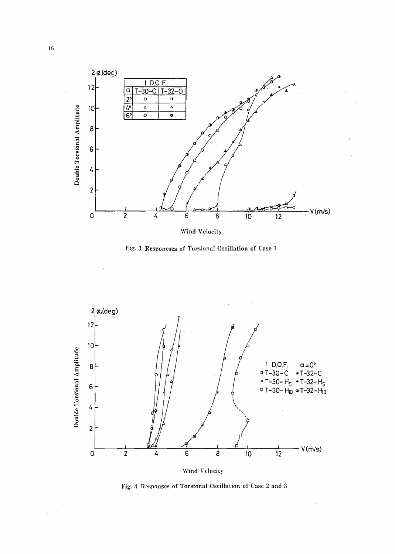

Fig. 3 Responeses of Torsional Oscillation of Case 1



Fig. 4 Responses of Torsional Oscillation of Case 2 and 3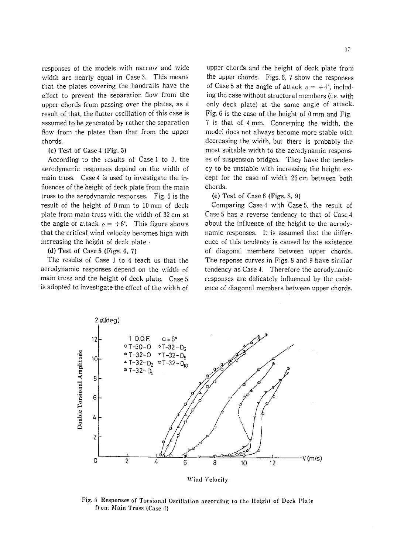responses of the models with narrow and wide width are nearly equal in Case 3. This means that the plates covering the handrails have the effect to prevent the separation flow from the upper chords from passing over the plates, as a result of that, the flutter oscillation of this case is assumed to be generated by rather the separation flow from the plates than that from the upper chords.

#### (c) Test of Case 4 (Fig. 5)

According to the results of Case 1 to 3, the aerodynamic responses depend on the width of main truss. Case 4 is used to investigate the influences of the height of deck plate from the main truss to the aerodynamic responses. Fig. 5 is the result of the height of 0 mm to 10 mrn of deck plate from main truss with the width of 32 em at the angle of attack  $\alpha = +6$ °. This figure shows that the critical wind velocity becomes high with increasing the height of deck plate  $\cdot$ 

(d) Test of Case 5 (Figs. 6. 7)

The results of Case 1 to 4 teach us that the aerodynamic responses depend on the width of main truss and the height of deck plate. Case 5 is adopted to investigate the effect of the width of

upper chords and the height of deck plate from the upper chords. Figs. 6, 7 show the responses of Case 5 at the angle of attack  $\alpha = +4^{\circ}$ , including the case without structural members (i.e, with only deck plate) at the same angle of attack. Fig. 6 is the case of the height of  $0 \text{ mm}$  and Fig. 7 is that of 4 mm. Concerning the width, the model does not always become more stable with decreasing the width, but there is probably the most suitable width to the aerodynamic responses of suspension bridges. They have the tendency to be unstable with increasing the height except for the case of width 26 cm between both chords.

#### (e) Test of Case 6 (Figs. S. 9)

Comparing Case 4 with Case 5, the result of Case 5 has a reverse tendency to that of Case 4 about the influence of the height to the aerodynamic responses. It is assumed that the difference of this tendency is caused by the existence of diagonal members between upper chords. The reponse curves in Figs. 8 and 9 have similar tendency as Case 4. Therefore the aerodynamic responses are delicately influenced by the existence of diagonal members between upper chords.



Fig. 5 Responses of Torsional Oscillation according to the Height of Deck Plate from Main Truss (Case 4)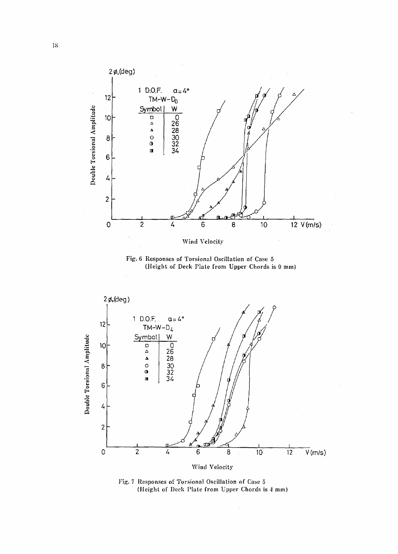

Fig. 6 Responses of Torsional Oscillation of Case 5 (Height of Deck Plate from Upper Chords is 0 mm)



Fig. 7 Responses of Torsional Oscillation of Case 5 (Height of Deck Plate from Upper Chords is 4 mm)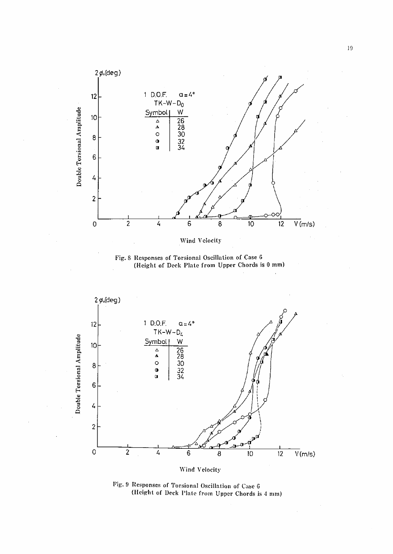

Fig. 8 Responses of Torsional Oscillation of Case 6 (Height of Deck Plate from Upper Chords is 0 mm)



Fig. 9 Responses of Torsional Oscillation of Case 6 (Height of Deck Plate from Upper Chords is 4 mm)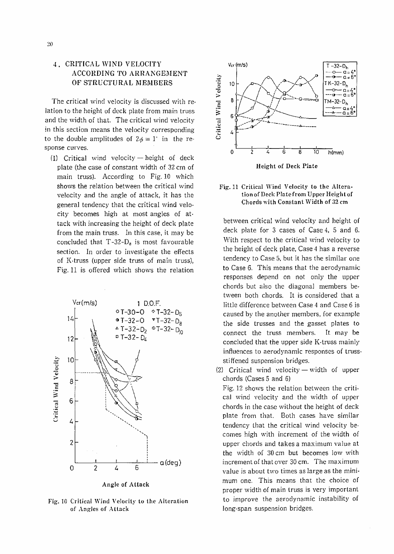# 4. CRITICAL WIND VELOCITY ACCORDING TO ARRANGEMENT OF STRUCTURAL MEMBERS

The critical wind velocity is discussed with relation to the height of deck plate from main truss and the width of that. The critical wind velocity in this section means the velocity corresponding to the double amplitudes of  $2\phi = 1$ <sup>c</sup> in the response curves.

(1) Critical wind velocity  $-$  height of deck plate (the case of constant width of 32 em of main truss). According to Fig.10 which shows the relation between the critical wind velocity and the angle of attack, it has the general tendency that the critical wind velocity becomes high at most angles of attack with increasing the height of deck plate from the main truss. In this case, it may be concluded that  $T-32-D_8$  is most favourable section. In order to investigate the effects of K-truss (upper side truss of main truss), Fig. 11 is offered which shows the relation



Fig. 10 Critical Wind Velocity to the Alteration of Angles of Attack



#### Fig. 11 Critical Wind Velocity to the Alteration of Deck Platcfrom Upper Heightof Chords with Constant Width of 32 em

between critical wind velocity and height of deck plate for 3 cases of Case 4, 5 and 6. With respect to the critical wind velocity to the height of deck plate, Case 4 has a reverse tendency to Case 5, but it has the similar one to Case 6. This means that the aerodynamic responses depend on not only the upper chords but also the diagonal members between both chords. It is considered that a little difference between Case 4 and Case 6 is caused by the another members, for example the side trusses and the gasset plates to connect the truss members. It may be concluded that the upper side K-truss mainly influences to aerodynamic responses of trussstiffened suspension bridges.

(2) Critical wind velocity  $-$  width of upper chords (Cases 5 and 6)

Fig. 12 shows the relation between the critical wind velocity and the width of upper chords in the case without the height of deck plate from that. Both cases have similar tendency that the critical wind velocity becomes high with increment of the width of upper chords and takes a maximum value at the width of 30 em but becomes low with increment of that over 30 em. The maximum value is about two times as large as the minimum one. This means that the choice of proper width of main truss is very important to improve the aerodynamic instability of long-span suspension bridges.